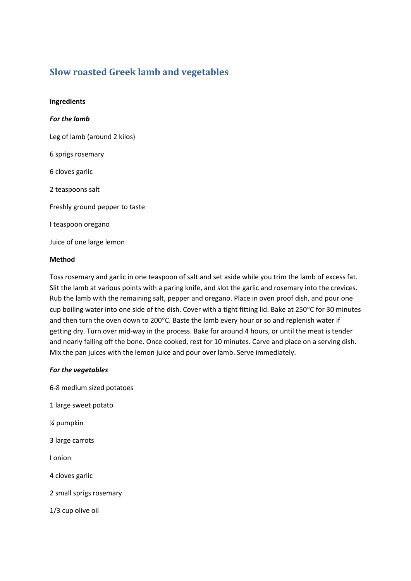## **Slow roasted Greek lamb and vegetables**

**Ingredients** *For the lamb* Leg of lamb (around 2 kilos) 6 sprigs rosemary 6 cloves garlic 2 teaspoons salt Freshly ground pepper to taste I teaspoon oregano Juice of one large lemon

## **Method**

Toss rosemary and garlic in one teaspoon of salt and set aside while you trim the lamb of excess fat. Slit the lamb at various points with a paring knife, and slot the garlic and rosemary into the crevices. Rub the lamb with the remaining salt, pepper and oregano. Place in oven proof dish, and pour one cup boiling water into one side of the dish. Cover with a tight fitting lid. Bake at 250°C for 30 minutes and then turn the oven down to 200°C. Baste the lamb every hour or so and replenish water if getting dry. Turn over mid-way in the process. Bake for around 4 hours, or until the meat is tender and nearly falling off the bone. Once cooked, rest for 10 minutes. Carve and place on a serving dish. Mix the pan juices with the lemon juice and pour over lamb. Serve immediately.

## *For the vegetables*

6-8 medium sized potatoes 1 large sweet potato ¼ pumpkin 3 large carrots I onion 4 cloves garlic 2 small sprigs rosemary 1/3 cup olive oil